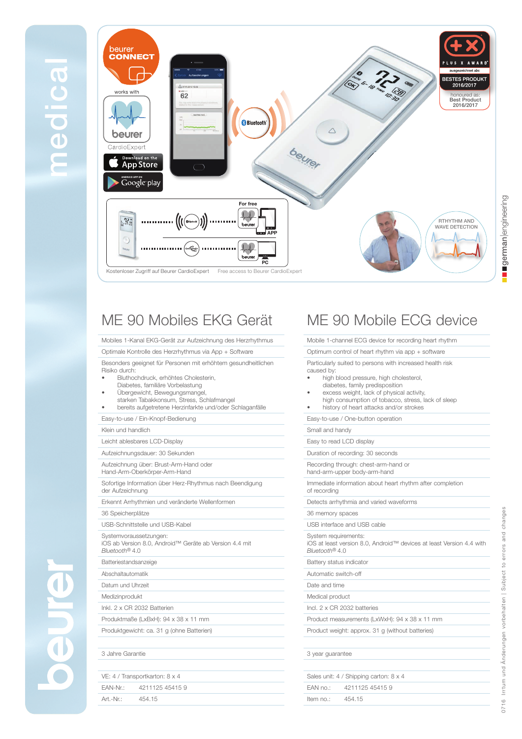

# ME 90 Mobiles EKG Gerät

Mobiles 1-Kanal EKG-Gerät zur Aufzeichnung des Herzrhythmus

Optimale Kontrolle des Herzrhythmus via App + Software

Besonders geeignet für Personen mit erhöhtem gesundheitlichen Risiko durch:

- Bluthochdruck, erhöhtes Cholesterin,
- Diabetes, familiäre Vorbelastung
- Übergewicht, Bewegungsmangel,
- starken Tabakkonsum, Stress, Schlafmangel • bereits aufgetretene Herzinfarkte und/oder Schlaganfälle

### Easy-to-use / Ein-Knopf-Bedienung

#### Klein und handlich

Leicht ablesbares LCD-Display

Aufzeichnungsdauer: 30 Sekunden

Aufzeichnung über: Brust-Arm-Hand oder Hand-Arm-Oberkörper-Arm-Hand

Sofortige Information über Herz-Rhythmus nach Beendigung der Aufzeichnung

Erkennt Arrhythmien und veränderte Wellenformen

36 Speicherplätze

USB-Schnittstelle und USB-Kabel

Systemvoraussetzungen: iOS ab Version 8.0, Android™ Geräte ab Version 4.4 mit *Bluetooth*® 4.0

Batteriestandsanzeige

Abschaltautomatik

Datum und Uhrzeit

Medizinprodukt

Inkl. 2 x CR 2032 Batterien

Produktmaße (LxBxH): 94 x 38 x 11 mm

Produktgewicht: ca. 31 g (ohne Batterien)

### 3 Jahre Garantie

| VE: 4 / Transportkarton: 8 x 4 |                          |  |
|--------------------------------|--------------------------|--|
|                                | EAN-Nr.: 4211125 45415 9 |  |
| Art.-Nr.:                      | 454 15                   |  |

## ME 90 Mobile ECG device

Mobile 1-channel ECG device for recording heart rhythm

Optimum control of heart rhythm via app + software

Particularly suited to persons with increased health risk caused by:

- high blood pressure, high cholesterol,
- diabetes, family predisposition
- excess weight, lack of physical activity,
- high consumption of tobacco, stress, lack of sleep • history of heart attacks and/or strokes
- Easy-to-use / One-button operation
- Small and handy

Easy to read LCD display

Duration of recording: 30 seconds

Recording through: chest-arm-hand or

hand-arm-upper body-arm-hand

Immediate information about heart rhythm after completion of recording

Detects arrhythmia and varied waveforms

36 memory spaces

USB interface and USB cable System requirements: iOS at least version 8.0, Android™ devices at least Version 4.4 with

*Bluetooth*® 4.0

Battery status indicator

Automatic switch-off

Date and time

Medical product

Incl. 2 x CR 2032 batteries

Product measurements (LxWxH): 94 x 38 x 11 mm

Product weight: approx. 31 g (without batteries)

#### 3 year guarantee

| Sales unit: 4 / Shipping carton: 8 x 4 |                          |  |
|----------------------------------------|--------------------------|--|
|                                        | EAN no.: 4211125 45415 9 |  |
| Item no.:                              | 454.15                   |  |